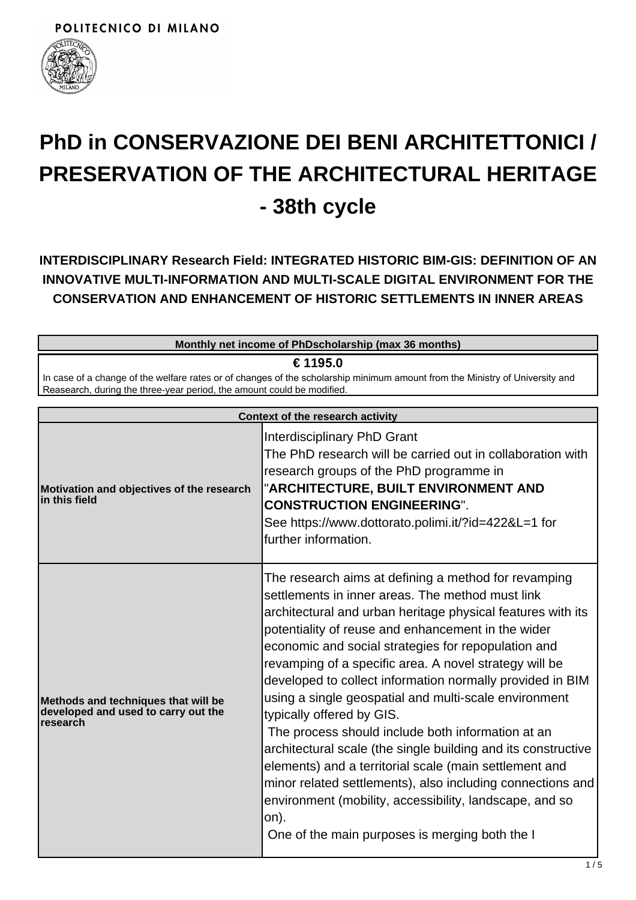

# **PhD in CONSERVAZIONE DEI BENI ARCHITETTONICI / PRESERVATION OF THE ARCHITECTURAL HERITAGE - 38th cycle**

**INTERDISCIPLINARY Research Field: INTEGRATED HISTORIC BIM-GIS: DEFINITION OF AN INNOVATIVE MULTI-INFORMATION AND MULTI-SCALE DIGITAL ENVIRONMENT FOR THE CONSERVATION AND ENHANCEMENT OF HISTORIC SETTLEMENTS IN INNER AREAS**

| Monthly net income of PhDscholarship (max 36 months)                                                                                                                                                   |  |  |
|--------------------------------------------------------------------------------------------------------------------------------------------------------------------------------------------------------|--|--|
| € 1195.0                                                                                                                                                                                               |  |  |
| In case of a change of the welfare rates or of changes of the scholarship minimum amount from the Ministry of University and<br>Reasearch, during the three-year period, the amount could be modified. |  |  |
| Context of the research activity                                                                                                                                                                       |  |  |
| Interdisciplinary PhD Grant                                                                                                                                                                            |  |  |

| Motivation and objectives of the research<br>$\ln$ this field                          | Interdisciplinary PhD Grant<br>The PhD research will be carried out in collaboration with<br>research groups of the PhD programme in<br>"ARCHITECTURE, BUILT ENVIRONMENT AND<br><b>CONSTRUCTION ENGINEERING".</b><br>See https://www.dottorato.polimi.it/?id=422&L=1 for<br>further information.                                                                                                                                                                                                                                                                                                                                                                                                                                                                                                                                                                     |
|----------------------------------------------------------------------------------------|----------------------------------------------------------------------------------------------------------------------------------------------------------------------------------------------------------------------------------------------------------------------------------------------------------------------------------------------------------------------------------------------------------------------------------------------------------------------------------------------------------------------------------------------------------------------------------------------------------------------------------------------------------------------------------------------------------------------------------------------------------------------------------------------------------------------------------------------------------------------|
| Methods and techniques that will be<br>developed and used to carry out the<br>research | The research aims at defining a method for revamping<br>settlements in inner areas. The method must link<br>architectural and urban heritage physical features with its<br>potentiality of reuse and enhancement in the wider<br>economic and social strategies for repopulation and<br>revamping of a specific area. A novel strategy will be<br>developed to collect information normally provided in BIM<br>using a single geospatial and multi-scale environment<br>typically offered by GIS.<br>The process should include both information at an<br>architectural scale (the single building and its constructive<br>elements) and a territorial scale (main settlement and<br>minor related settlements), also including connections and<br>environment (mobility, accessibility, landscape, and so<br>on).<br>One of the main purposes is merging both the I |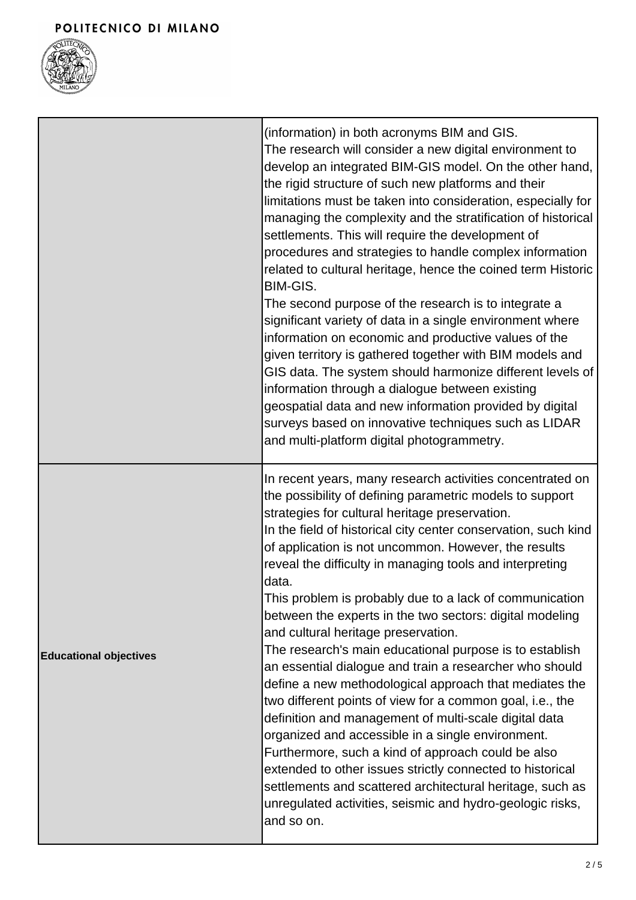

|                               | (information) in both acronyms BIM and GIS.<br>The research will consider a new digital environment to<br>develop an integrated BIM-GIS model. On the other hand,<br>the rigid structure of such new platforms and their<br>limitations must be taken into consideration, especially for<br>managing the complexity and the stratification of historical<br>settlements. This will require the development of<br>procedures and strategies to handle complex information<br>related to cultural heritage, hence the coined term Historic<br>BIM-GIS.<br>The second purpose of the research is to integrate a<br>significant variety of data in a single environment where<br>information on economic and productive values of the<br>given territory is gathered together with BIM models and<br>GIS data. The system should harmonize different levels of<br>information through a dialogue between existing<br>geospatial data and new information provided by digital<br>surveys based on innovative techniques such as LIDAR<br>and multi-platform digital photogrammetry.                                                                             |
|-------------------------------|------------------------------------------------------------------------------------------------------------------------------------------------------------------------------------------------------------------------------------------------------------------------------------------------------------------------------------------------------------------------------------------------------------------------------------------------------------------------------------------------------------------------------------------------------------------------------------------------------------------------------------------------------------------------------------------------------------------------------------------------------------------------------------------------------------------------------------------------------------------------------------------------------------------------------------------------------------------------------------------------------------------------------------------------------------------------------------------------------------------------------------------------------------|
| <b>Educational objectives</b> | In recent years, many research activities concentrated on<br>the possibility of defining parametric models to support<br>strategies for cultural heritage preservation.<br>In the field of historical city center conservation, such kind<br>of application is not uncommon. However, the results<br>reveal the difficulty in managing tools and interpreting<br>data.<br>This problem is probably due to a lack of communication<br>between the experts in the two sectors: digital modeling<br>and cultural heritage preservation.<br>The research's main educational purpose is to establish<br>an essential dialogue and train a researcher who should<br>define a new methodological approach that mediates the<br>two different points of view for a common goal, i.e., the<br>definition and management of multi-scale digital data<br>organized and accessible in a single environment.<br>Furthermore, such a kind of approach could be also<br>extended to other issues strictly connected to historical<br>settlements and scattered architectural heritage, such as<br>unregulated activities, seismic and hydro-geologic risks,<br>and so on. |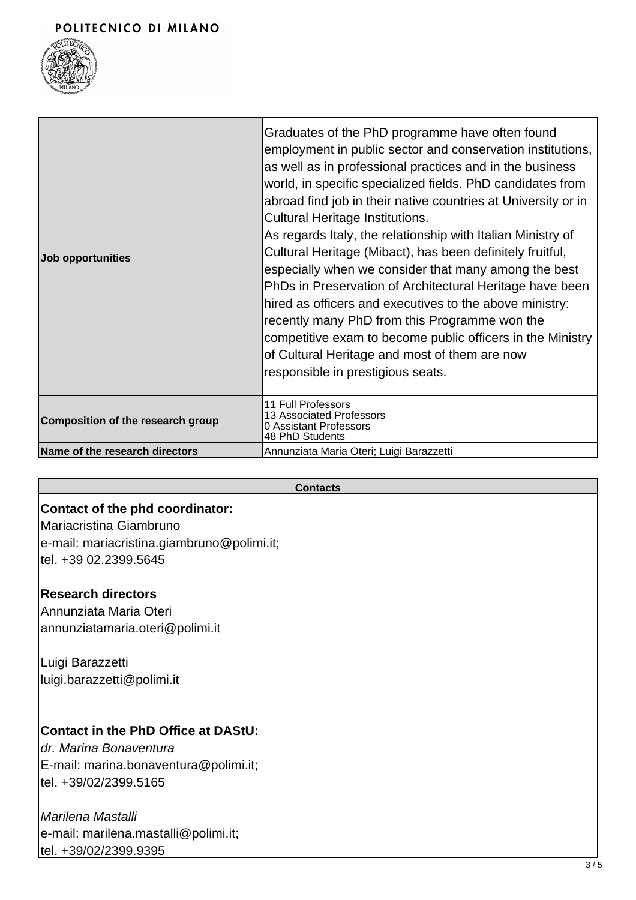## POLITECNICO DI MILANO



| <b>Job opportunities</b>          | Graduates of the PhD programme have often found<br>employment in public sector and conservation institutions,<br>as well as in professional practices and in the business<br>world, in specific specialized fields. PhD candidates from<br>abroad find job in their native countries at University or in<br><b>Cultural Heritage Institutions.</b><br>As regards Italy, the relationship with Italian Ministry of<br>Cultural Heritage (Mibact), has been definitely fruitful,<br>especially when we consider that many among the best<br>PhDs in Preservation of Architectural Heritage have been<br>hired as officers and executives to the above ministry:<br>recently many PhD from this Programme won the<br>competitive exam to become public officers in the Ministry<br>of Cultural Heritage and most of them are now<br>responsible in prestigious seats. |
|-----------------------------------|--------------------------------------------------------------------------------------------------------------------------------------------------------------------------------------------------------------------------------------------------------------------------------------------------------------------------------------------------------------------------------------------------------------------------------------------------------------------------------------------------------------------------------------------------------------------------------------------------------------------------------------------------------------------------------------------------------------------------------------------------------------------------------------------------------------------------------------------------------------------|
| Composition of the research group | 11 Full Professors<br>13 Associated Professors<br>0 Assistant Professors<br>48 PhD Students                                                                                                                                                                                                                                                                                                                                                                                                                                                                                                                                                                                                                                                                                                                                                                        |
| Name of the research directors    | Annunziata Maria Oteri; Luigi Barazzetti                                                                                                                                                                                                                                                                                                                                                                                                                                                                                                                                                                                                                                                                                                                                                                                                                           |

#### **Contacts**

# **Contact of the phd coordinator:**

Mariacristina Giambruno e-mail: mariacristina.giambruno@polimi.it; tel. +39 02.2399.5645

# **Research directors**

Annunziata Maria Oteri annunziatamaria.oteri@polimi.it

Luigi Barazzetti luigi.barazzetti@polimi.it

## **Contact in the PhD Office at DAStU:**

dr. Marina Bonaventura E-mail: marina.bonaventura@polimi.it; tel. +39/02/2399.5165

# Marilena Mastalli e-mail: marilena.mastalli@polimi.it; tel. +39/02/2399.9395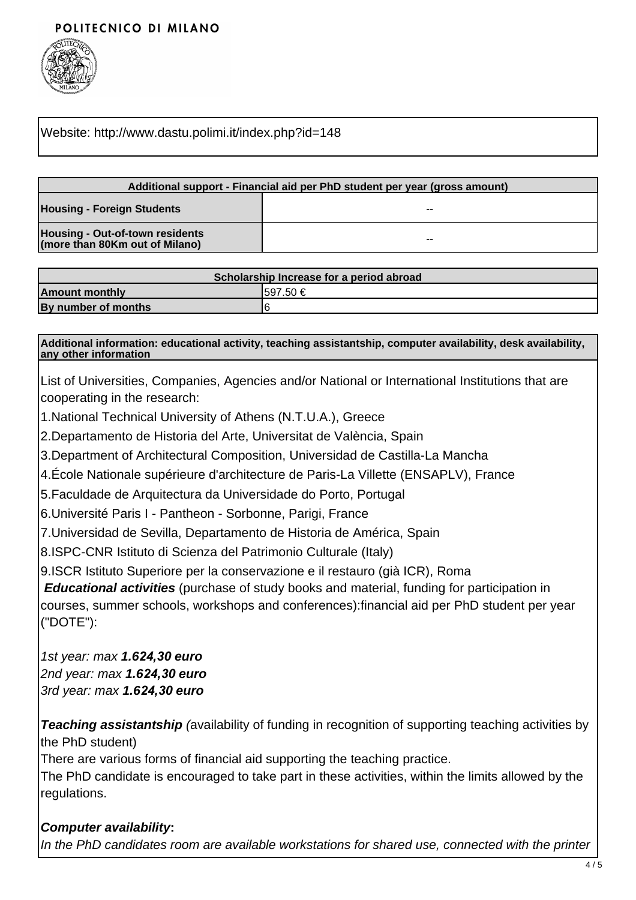## POLITECNICO DI MILANO



#### Website: http://www.dastu.polimi.it/index.php?id=148

| Additional support - Financial aid per PhD student per year (gross amount) |    |  |
|----------------------------------------------------------------------------|----|--|
| <b>Housing - Foreign Students</b>                                          | -- |  |
| <b>Housing - Out-of-town residents</b><br>(more than 80Km out of Milano)   | -- |  |

| Scholarship Increase for a period abroad |           |  |  |
|------------------------------------------|-----------|--|--|
| <b>Amount monthly</b>                    | 1597.50 € |  |  |
| By number of months                      |           |  |  |

**Additional information: educational activity, teaching assistantship, computer availability, desk availability, any other information**

List of Universities, Companies, Agencies and/or National or International Institutions that are cooperating in the research:

1.National Technical University of Athens (N.T.U.A.), Greece

2.Departamento de Historia del Arte, Universitat de València, Spain

3.Department of Architectural Composition, Universidad de Castilla-La Mancha

4.École Nationale supérieure d'architecture de Paris-La Villette (ENSAPLV), France

5.Faculdade de Arquitectura da Universidade do Porto, Portugal

6.Université Paris I - Pantheon - Sorbonne, Parigi, France

7.Universidad de Sevilla, Departamento de Historia de América, Spain

8.ISPC-CNR Istituto di Scienza del Patrimonio Culturale (Italy)

9.ISCR Istituto Superiore per la conservazione e il restauro (già ICR), Roma

**Educational activities** (purchase of study books and material, funding for participation in courses, summer schools, workshops and conferences):financial aid per PhD student per year ("DOTE"):

1st year: max **1.6***24***,***30* **euro** 2nd year: max **1.6***24***,***30* **euro** 3rd year: max **1.6***24***,***30* **euro**

**Teaching assistantship** (availability of funding in recognition of supporting teaching activities by the PhD student)

There are various forms of financial aid supporting the teaching practice.

The PhD candidate is encouraged to take part in these activities, within the limits allowed by the regulations.

**Computer availability:** In the PhD candidates room are available workstations for shared use, connected with the printer